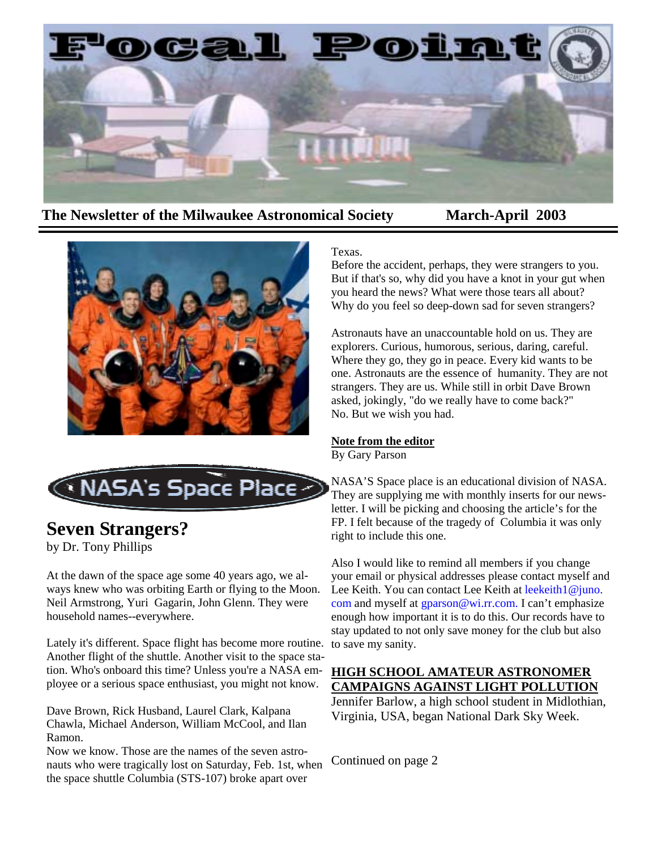

## **The Newsletter of the Milwaukee Astronomical Society March-April 2003**





# **Seven Strangers?**

by Dr. Tony Phillips

At the dawn of the space age some 40 years ago, we always knew who was orbiting Earth or flying to the Moon. Neil Armstrong, Yuri Gagarin, John Glenn. They were household names--everywhere.

Lately it's different. Space flight has become more routine. Another flight of the shuttle. Another visit to the space station. Who's onboard this time? Unless you're a NASA employee or a serious space enthusiast, you might not know.

Dave Brown, Rick Husband, Laurel Clark, Kalpana Chawla, Michael Anderson, William McCool, and Ilan Ramon.

Now we know. Those are the names of the seven astronauts who were tragically lost on Saturday, Feb. 1st, when the space shuttle Columbia (STS-107) broke apart over

### Texas.

Before the accident, perhaps, they were strangers to you. But if that's so, why did you have a knot in your gut when you heard the news? What were those tears all about? Why do you feel so deep-down sad for seven strangers?

Astronauts have an unaccountable hold on us. They are explorers. Curious, humorous, serious, daring, careful. Where they go, they go in peace. Every kid wants to be one. Astronauts are the essence of humanity. They are not strangers. They are us. While still in orbit Dave Brown asked, jokingly, "do we really have to come back?" No. But we wish you had.

#### **Note from the editor**

By Gary Parson

NASA'S Space place is an educational division of NASA. They are supplying me with monthly inserts for our newsletter. I will be picking and choosing the article's for the FP. I felt because of the tragedy of Columbia it was only right to include this one.

Also I would like to remind all members if you change your email or physical addresses please contact myself and Lee Keith. You can contact Lee Keith at leekeith1@juno. com and myself at gparson@wi.rr.com. I can't emphasize enough how important it is to do this. Our records have to stay updated to not only save money for the club but also to save my sanity.

### **HIGH SCHOOL AMATEUR ASTRONOMER CAMPAIGNS AGAINST LIGHT POLLUTION**

Jennifer Barlow, a high school student in Midlothian, Virginia, USA, began National Dark Sky Week.

Continued on page 2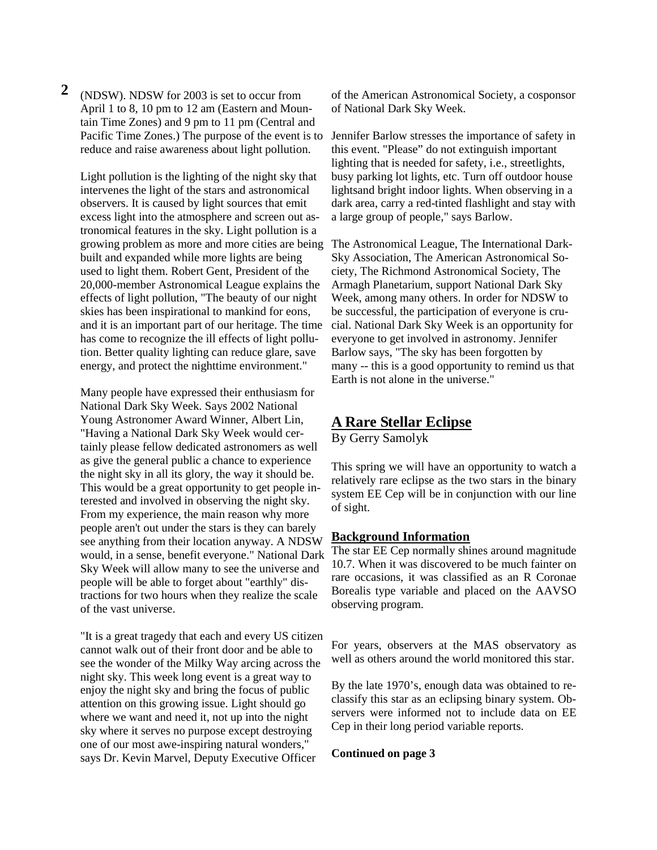**2** (NDSW). NDSW for 2003 is set to occur from April 1 to 8, 10 pm to 12 am (Eastern and Mountain Time Zones) and 9 pm to 11 pm (Central and Pacific Time Zones.) The purpose of the event is to reduce and raise awareness about light pollution.

Light pollution is the lighting of the night sky that intervenes the light of the stars and astronomical observers. It is caused by light sources that emit excess light into the atmosphere and screen out astronomical features in the sky. Light pollution is a growing problem as more and more cities are being built and expanded while more lights are being used to light them. Robert Gent, President of the 20,000-member Astronomical League explains the effects of light pollution, "The beauty of our night skies has been inspirational to mankind for eons, and it is an important part of our heritage. The time has come to recognize the ill effects of light pollution. Better quality lighting can reduce glare, save energy, and protect the nighttime environment."

Many people have expressed their enthusiasm for National Dark Sky Week. Says 2002 National Young Astronomer Award Winner, Albert Lin, "Having a National Dark Sky Week would certainly please fellow dedicated astronomers as well as give the general public a chance to experience the night sky in all its glory, the way it should be. This would be a great opportunity to get people interested and involved in observing the night sky. From my experience, the main reason why more people aren't out under the stars is they can barely see anything from their location anyway. A NDSW would, in a sense, benefit everyone." National Dark Sky Week will allow many to see the universe and people will be able to forget about "earthly" distractions for two hours when they realize the scale of the vast universe.

"It is a great tragedy that each and every US citizen cannot walk out of their front door and be able to see the wonder of the Milky Way arcing across the night sky. This week long event is a great way to enjoy the night sky and bring the focus of public attention on this growing issue. Light should go where we want and need it, not up into the night sky where it serves no purpose except destroying one of our most awe-inspiring natural wonders," says Dr. Kevin Marvel, Deputy Executive Officer

of the American Astronomical Society, a cosponsor of National Dark Sky Week.

Jennifer Barlow stresses the importance of safety in this event. "Please" do not extinguish important lighting that is needed for safety, i.e., streetlights, busy parking lot lights, etc. Turn off outdoor house lightsand bright indoor lights. When observing in a dark area, carry a red-tinted flashlight and stay with a large group of people," says Barlow.

The Astronomical League, The International Dark-Sky Association, The American Astronomical Society, The Richmond Astronomical Society, The Armagh Planetarium, support National Dark Sky Week, among many others. In order for NDSW to be successful, the participation of everyone is crucial. National Dark Sky Week is an opportunity for everyone to get involved in astronomy. Jennifer Barlow says, "The sky has been forgotten by many -- this is a good opportunity to remind us that Earth is not alone in the universe."

## **A Rare Stellar Eclipse**

By Gerry Samolyk

This spring we will have an opportunity to watch a relatively rare eclipse as the two stars in the binary system EE Cep will be in conjunction with our line of sight.

#### **Background Information**

The star EE Cep normally shines around magnitude 10.7. When it was discovered to be much fainter on rare occasions, it was classified as an R Coronae Borealis type variable and placed on the AAVSO observing program.

For years, observers at the MAS observatory as well as others around the world monitored this star.

By the late 1970's, enough data was obtained to reclassify this star as an eclipsing binary system. Observers were informed not to include data on EE Cep in their long period variable reports.

#### **Continued on page 3**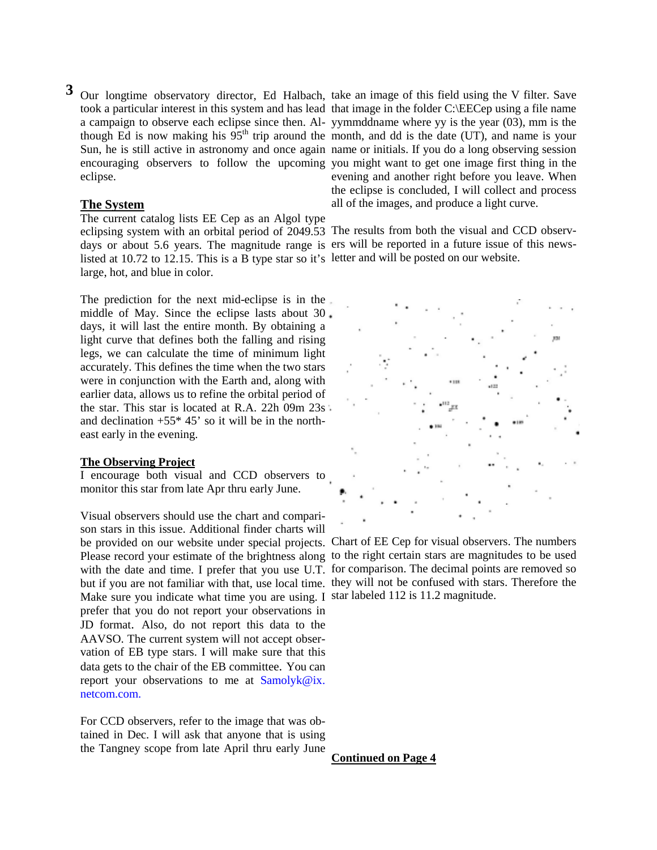**3** Our longtime observatory director, Ed Halbach, take an image of this field using the V filter. Save eclipse.

#### **The System**

The current catalog lists EE Cep as an Algol type listed at 10.72 to 12.15. This is a B type star so it's letter and will be posted on our website. large, hot, and blue in color.

The prediction for the next mid-eclipse is in the middle of May. Since the eclipse lasts about 30 days, it will last the entire month. By obtaining a light curve that defines both the falling and rising legs, we can calculate the time of minimum light accurately. This defines the time when the two stars were in conjunction with the Earth and, along with earlier data, allows us to refine the orbital period of the star. This star is located at R.A. 22h 09m 23s and declination  $+55*45'$  so it will be in the northeast early in the evening.

#### **The Observing Project**

I encourage both visual and CCD observers to monitor this star from late Apr thru early June.

Visual observers should use the chart and comparison stars in this issue. Additional finder charts will be provided on our website under special projects. Chart of EE Cep for visual observers. The numbers Please record your estimate of the brightness along to the right certain stars are magnitudes to be used with the date and time. I prefer that you use U.T. for comparison. The decimal points are removed so but if you are not familiar with that, use local time. they will not be confused with stars. Therefore the Make sure you indicate what time you are using. I star labeled 112 is 11.2 magnitude. prefer that you do not report your observations in JD format. Also, do not report this data to the AAVSO. The current system will not accept observation of EB type stars. I will make sure that this data gets to the chair of the EB committee. You can report your observations to me at  $Samolvk@ix$ . netcom.com.

For CCD observers, refer to the image that was obtained in Dec. I will ask that anyone that is using the Tangney scope from late April thru early June

took a particular interest in this system and has lead that image in the folder C:\EECep using a file name a campaign to observe each eclipse since then. Al-yymmddname where yy is the year (03), mm is the though Ed is now making his  $95<sup>th</sup>$  trip around the month, and dd is the date (UT), and name is your Sun, he is still active in astronomy and once again name or initials. If you do a long observing session encouraging observers to follow the upcoming you might want to get one image first thing in the evening and another right before you leave. When the eclipse is concluded, I will collect and process all of the images, and produce a light curve.

eclipsing system with an orbital period of 2049.53 The results from both the visual and CCD observdays or about 5.6 years. The magnitude range is ers will be reported in a future issue of this news-



**Continued on Page 4**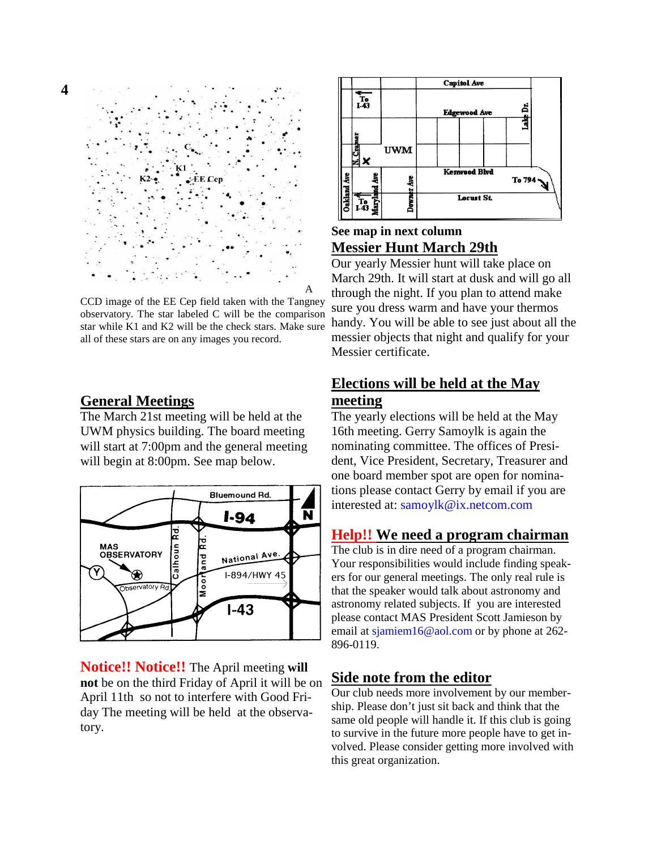

CCD image of the EE Cep field taken with the Tangney observatory. The star labeled C will be the comparison star while K1 and K2 will be the check stars. Make sure all of these stars are on any images you record.

## **General Meetings**

The March 21st meeting will be held at the UWM physics building. The board meeting will start at 7:00pm and the general meeting will begin at 8:00pm. See map below.



**Notice!! Notice!!** The April meeting **will not** be on the third Friday of April it will be on April 11th so not to interfere with Good Friday The meeting will be held at the observatory.



## **See map in next column Messier Hunt March 29th**

Our yearly Messier hunt will take place on March 29th. It will start at dusk and will go all through the night. If you plan to attend make sure you dress warm and have your thermos handy. You will be able to see just about all the messier objects that night and qualify for your Messier certificate.

## **Elections will be held at the May meeting**

The yearly elections will be held at the May 16th meeting. Gerry Samoylk is again the nominating committee. The offices of President, Vice President, Secretary, Treasurer and one board member spot are open for nominations please contact Gerry by email if you are interested at: samoylk@ix.netcom.com

## **Help!! We need a program chairman**

The club is in dire need of a program chairman. Your responsibilities would include finding speakers for our general meetings. The only real rule is that the speaker would talk about astronomy and astronomy related subjects. If you are interested please contact MAS President Scott Jamieson by email at sjamiem16@aol.com or by phone at 262- 896-0119.

## **Side note from the editor**

Our club needs more involvement by our membership. Please don't just sit back and think that the same old people will handle it. If this club is going to survive in the future more people have to get involved. Please consider getting more involved with this great organization.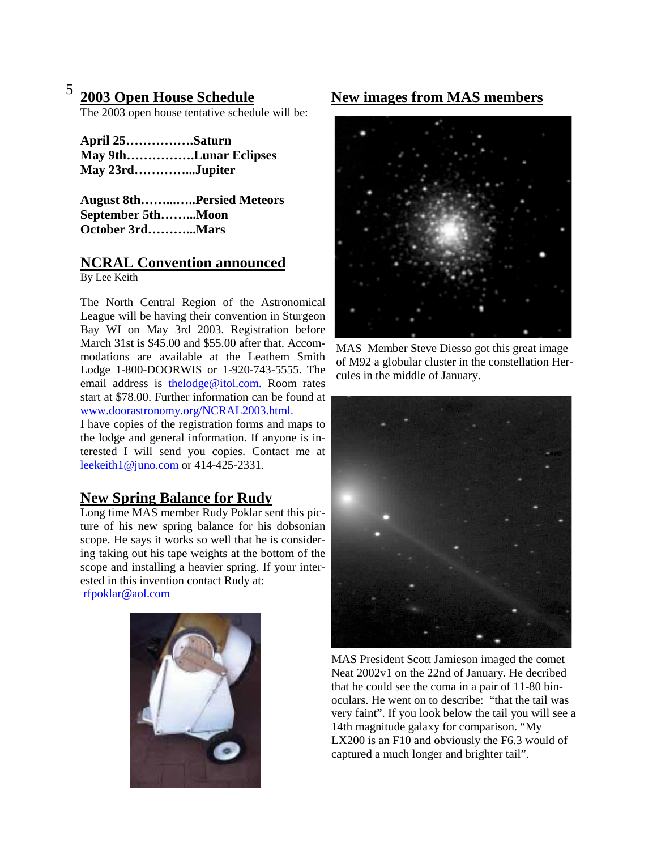# **2003 Open House Schedule**

The 2003 open house tentative schedule will be:

| April 25Saturn  |                       |
|-----------------|-----------------------|
|                 | May 9thLunar Eclipses |
| May 23rdJupiter |                       |

**August 8th……...…..Persied Meteors September 5th……...Moon October 3rd………...Mars** 

# **NCRAL Convention announced**

By Lee Keith

The North Central Region of the Astronomical League will be having their convention in Sturgeon Bay WI on May 3rd 2003. Registration before March 31st is \$45.00 and \$55.00 after that. Accommodations are available at the Leathem Smith Lodge 1-800-DOORWIS or 1-920-743-5555. The email address is thelodge@itol.com. Room rates start at \$78.00. Further information can be found at www.doorastronomy.org/NCRAL2003.html.

I have copies of the registration forms and maps to the lodge and general information. If anyone is interested I will send you copies. Contact me at leekeith1@juno.com or 414-425-2331.

# **New Spring Balance for Rudy**

Long time MAS member Rudy Poklar sent this picture of his new spring balance for his dobsonian scope. He says it works so well that he is considering taking out his tape weights at the bottom of the scope and installing a heavier spring. If your interested in this invention contact Rudy at:

rfpoklar@aol.com



# <sup>5</sup> 2003 Open House Schedule New images from MAS members



MAS Member Steve Diesso got this great image of M92 a globular cluster in the constellation Hercules in the middle of January.



MAS President Scott Jamieson imaged the comet Neat 2002v1 on the 22nd of January. He decribed that he could see the coma in a pair of 11-80 binoculars. He went on to describe: "that the tail was very faint". If you look below the tail you will see a 14th magnitude galaxy for comparison. "My LX200 is an F10 and obviously the F6.3 would of captured a much longer and brighter tail".